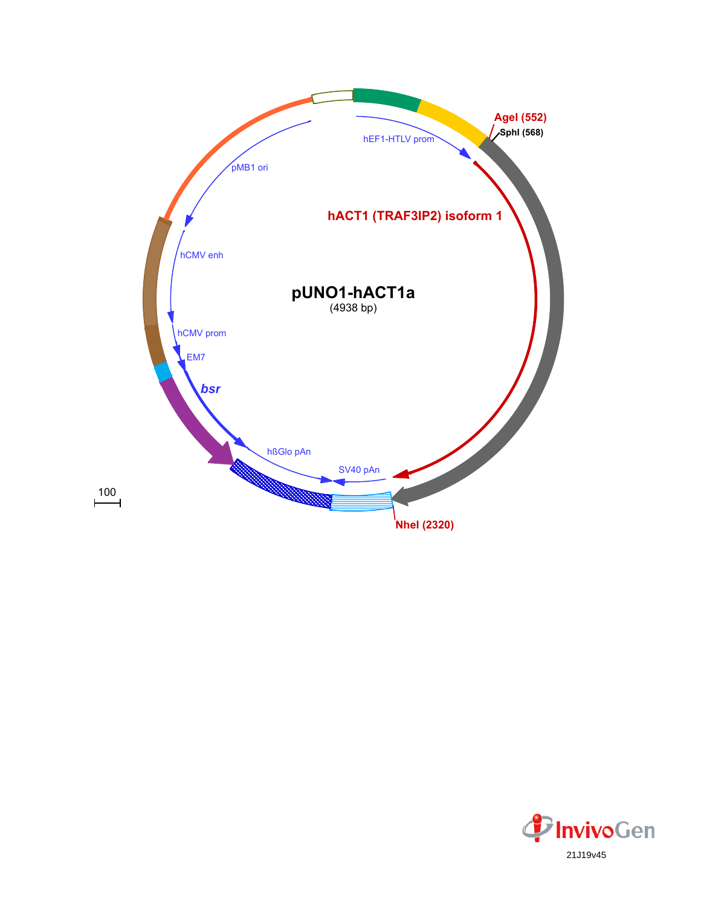

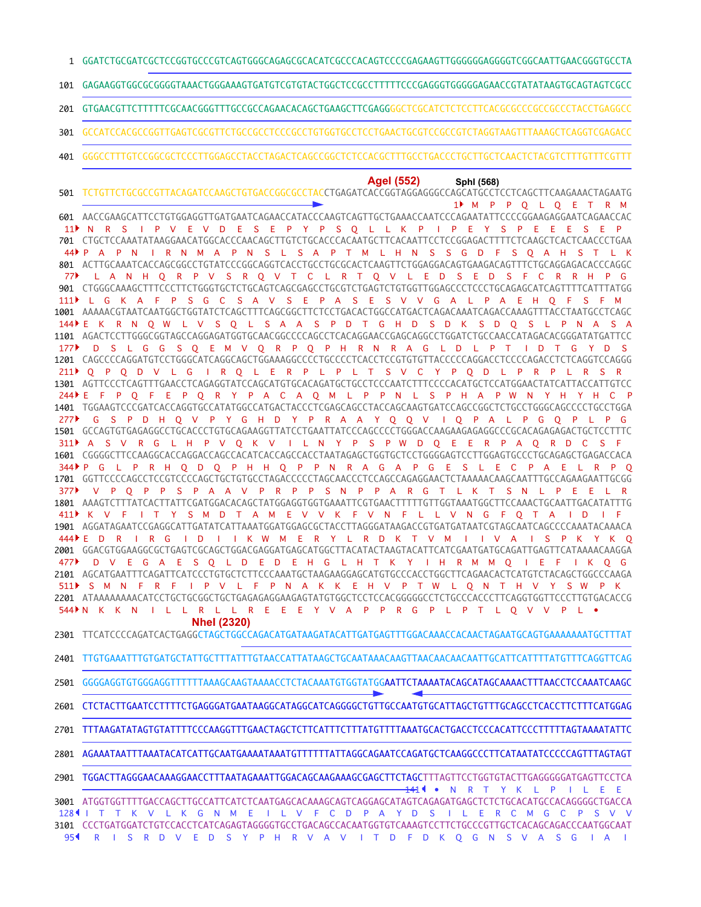GGATCTGCGATCGCTCCGGTGCCCGTCAGTGGGCAGAGCGCACATCGCCCACAGTCCCCGAGAAGTTGGGGGGAGGGGTCGGCAATTGAACGGGTGCCTA

GAGAAGGTGGCGCGGGGTAAACTGGGAAAGTGATGTCGTGTACTGGCTCCGCCTTTTTCCCGAGGGTGGGGGAGAACCGTATATAAGTGCAGTAGTCGCC 

GTGAACGTTCTTTTTCGCAACGGGTTTGCCGCCAGAACACAGCTGAAGCTTCGAGGGGCTCGCATCTCTCCTTCACGCGCCCGCCGCCCTACCTGAGGCC 

- GCCATCCACGCCGGTTGAGTCGCGTTCTGCCGCCTCCCGCCTGTGGTGCCTCCTGAACTGCGTCCGCCGTCTAGGTAAGTTTAAAGCTCAGGTCGAGACC
- GGGCCTTTGTCCGGCGCTCCCTTGGAGCCTACCTAGACTCAGCCGGCTCTCCACGCTTTGCCTGACCCTGCTTGCTCAACTCTACGTCTTTGTTTCGTTT

## **AgeI (552) SphI (568)**

TCTGTTCTGCGCCGTTACAGATCCAAGCTGTGACCGGCGCCTACCTGAGATCACCGGTAGGAGGGCCAGCATGCCTCCTCAGCTTCAAGAAACTAGAATG AACCGAAGCATTCCTGTGGAGGTTGATGAATCAGAACCATACCCAAGTCAGTTGCTGAAACCAATCCCAGAATATTCCCCGGAAGAGGAATCAGAACCAC CTGCTCCAAATATAAGGAACATGGCACCCAACAGCTTGTCTGCACCCACAATGCTTCACAATTCCTCCGGAGACTTTTCTCAAGCTCACTCAACCCTGAA ACTTGCAAATCACCAGCGGCCTGTATCCCGGCAGGTCACCTGCCTGCGCACTCAAGTTCTGGAGGACAGTGAAGACAGTTTCTGCAGGAGACACCCAGGC CTGGGCAAAGCTTTCCCTTCTGGGTGCTCTGCAGTCAGCGAGCCTGCGTCTGAGTCTGTGGTTGGAGCCCTCCCTGCAGAGCATCAGTTTTCATTTATGG 1001 AAAAACGTAATCAATGGCTGGTATCTCAGCTTTCAGCGGCTTCTCCTGACACTGGCCATGACTCAGACAAATCAGACCAAAGTTTACCTAATGCCTCAGC 1101 AGACTCCTTGGGCGGTAGCCAGGAGATGGTGCAACGGCCCCAGCCTCACAGGAACCGAGCAGGCCTGGATCTGCCAACCATAGACACGGGATATGATTCC 1201 CAGCCCCAGGATGTCCTGGGCATCAGGCAGCTGGAAAGGCCCCTGCCCCTCACCTCCGTGTGTTACCCCCAGGACCTCCCCAGACCTCTCAGGTCCAGGG 1301 AGTTCCCTCAGTTTGAACCTCAGAGGTATCCAGCATGTGCACAGATGCTGCCTCCCAATCTTTCCCCACATGCTCCATGGAACTATCATTACCATTGTCC TGGAAGTCCCGATCACCAGGTGCCATATGGCCATGACTACCCTCGAGCAGCCTACCAGCAAGTGATCCAGCCGGCTCTGCCTGGGCAGCCCCTGCCTGGA GCCAGTGTGAGAGGCCTGCACCCTGTGCAGAAGGTTATCCTGAATTATCCCAGCCCCTGGGACCAAGAAGAGAGGCCCGCACAGAGAGACTGCTCCTTTC CGGGGCTTCCAAGGCACCAGGACCAGCCACATCACCAGCCACCTAATAGAGCTGGTGCTCCTGGGGAGTCCTTGGAGTGCCCTGCAGAGCTGAGACCACA GGTTCCCCAGCCTCCGTCCCCAGCTGCTGTGCCTAGACCCCCTAGCAACCCTCCAGCCAGAGGAACTCTAAAAACAAGCAATTTGCCAGAAGAATTGCGG AAAGTCTTTATCACTTATTCGATGGACACAGCTATGGAGGTGGTGAAATTCGTGAACTTTTTGTTGGTAAATGGCTTCCAAACTGCAATTGACATATTTG AGGATAGAATCCGAGGCATTGATATCATTAAATGGATGGAGCGCTACCTTAGGGATAAGACCGTGATGATAATCGTAGCAATCAGCCCCAAATACAAACA GGACGTGGAAGGCGCTGAGTCGCAGCTGGACGAGGATGAGCATGGCTTACATACTAAGTACATTCATCGAATGATGCAGATTGAGTTCATAAAACAAGGA 2101 AGCATGAATTTCAGATTCATCCCTGTGCTCTTCCCAAATGCTAAGAAGGAGCATGTGCCCACCTGGCTTCAGAACACTCATGTCTACAGCTGGCCCAAGA 2201 ATAAAAAAAACATCCTGCTGCGGCTGCTGAGAGAGGAAGAGTATGTGGCTCCTCCACGGGGGCCTCTGCCCACCCTTCAGGTGGTTCCCTTGTGACACCG M P P Q L Q E T R M N R S I P V E V D E S E P Y P S Q L L K P I P E Y S P E E E S E P P A P N I R N M A P N S L S A P T M L H N S S G D F S Q A H S T L K L A N H Q R P V S R Q V T C L R T Q V L E D S E D S F C R R H P G L G K A F P S G C S A V S E P A S E S V V G A L P A E H Q F S F M E K R N Q W L V S Q L S A A S P D T G H D S D K S D Q S L P N A S A D S L G G S Q E M V Q R P Q P H R N R A G L D L P T I D T G Y D S Q P Q D V L G I R Q L E R P L P L T S V C Y P Q D L P R P L R S R E F P Q F E P Q R Y P A C A Q M L P P N L S P H A P W N Y H Y H C P G S P D H Q V P Y G H D Y P R A A Y Q Q V I Q P A L P G Q P L P G 311 PAS V R G L H P V Q K V I L N Y P S P W D Q E E R P A Q R D C S F P G L P R H Q D Q P H H Q P P N R A G A P G E S L E C P A E L R P Q V P Q P P S P A A V P R P P S N P P A R G T L K T S N L P E E L R 411ÞK V F I T Y S M D T A M E V V K F V N F L L V N G F Q T A I D I F E D R I R G I D I I K W M E R Y L R D K T V M I I V A I S P K Y K Q D V E G A E S Q L D E D E H G L H T K Y I H R M M Q I E F I K Q G S M N F R F I P V L F P N A K K E H V P T W L Q N T H V Y S W P K 544N K K N I L L R L L R E E E Y V A P P R G P L P T L Q V V P L • **NheI (2320)** 

TTCATCCCCAGATCACTGAGGCTAGCTGGCCAGACATGATAAGATACATTGATGAGTTTGGACAAACCACAACTAGAATGCAGTGAAAAAAATGCTTTAT

- TTGTGAAATTTGTGATGCTATTGCTTTATTTGTAACCATTATAAGCTGCAATAAACAAGTTAACAACAACAATTGCATTCATTTTATGTTTCAGGTTCAG
- GGGGAGGTGTGGGAGGTTTTTTAAAGCAAGTAAAACCTCTACAAATGTGGTATGGAATTCTAAAATACAGCATAGCAAAACTTTAACCTCCAAATCAAGC
- CTCTACTTGAATCCTTTTCTGAGGGATGAATAAGGCATAGGCATCAGGGGCTGTTGCCAATGTGCATTAGCTGTTTGCAGCCTCACCTTCTTTCATGGAG

TTTAAGATATAGTGTATTTTCCCAAGGTTTGAACTAGCTCTTCATTTCTTTATGTTTTAAATGCACTGACCTCCCACATTCCCTTTTTAGTAAAATATTC 

- 2801 AGAAATAATTTAAATACATCATTGCAATGAAAATAAATGTTTTTTATTAGGCAGAATCCAGATGCTCAAGGCCCTTCATAATATCCCCCAGTTTAGTAGT
- TGGACTTAGGGAACAAAGGAACCTTTAATAGAAATTGGACAGCAAGAAAGCGAGCTTCTAGCTTTAGTTCCTGGTGTACTTGAGGGGGATGAGTTCCTCA

3001 ATGGTGGTTTTGACCAGCTTGCCATTCATCTCAATGAGCACAAAGCAGTCAGGAGCATAGTCAGAGATGAGCTCTCTGCACATGCCACAGGGGCTGACCA 3101 CCCTGATGGATCTGTCCACCTCATCAGAGTAGGGGTGCCTGACAGCCACAATGGTGTCAAAGTCCTTCTGCCCGTTGCTCACAGCAGACCCAATGGCAAT • N R T Y K L P I L E E 128¶ I T T K V L K G N M E I L V F C D P A Y D S I L E R C M G C P S V V R I S R D V E D S Y P H R V A V I T D F D K Q G N S V A S G I A I